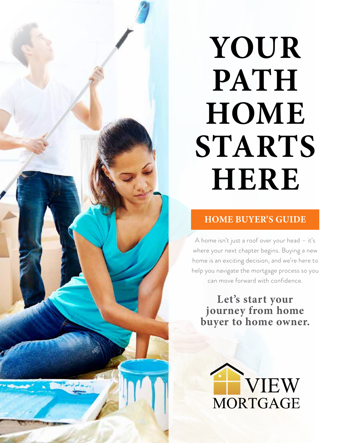## **YOUR PATH HOME STARTS HERE**

### **HOME BUYER'S GUIDE**

A home isn't just a roof over your head – it's where your next chapter begins. Buying a new home is an exciting decision, and we're here to help you navigate the mortgage process so you can move forward with confidence.

**Let's start your journey from home buyer to home owner.** 

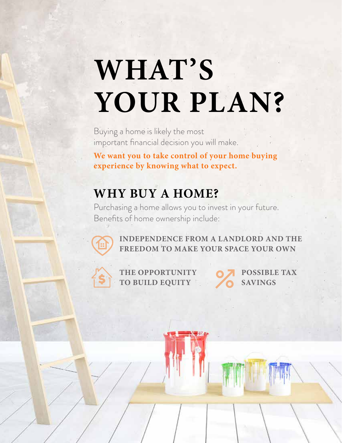## **WHAT'S YOUR PLAN?**

Buying a home is likely the most important financial decision you will make.

**We want you to take control of your home buying experience by knowing what to expect.**

## **WHY BUY A HOME?**

Purchasing a home allows you to invest in your future. Benefits of home ownership include:



**INDEPENDENCE FROM A LANDLORD AND THE FREEDOM TO MAKE YOUR SPACE YOUR OWN**



**THE OPPORTUNITY TO BUILD EQUITY** **POSSIBLE TAX SAVINGS**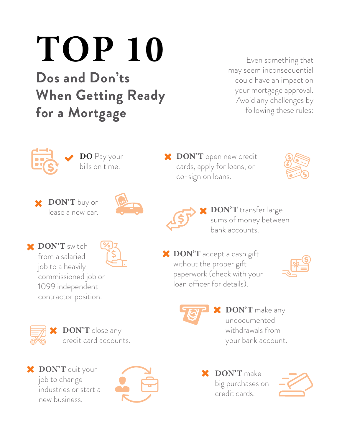# **TOP 10**

**Dos and Don'ts When Getting Ready for a Mortgage**

Even something that may seem inconsequential could have an impact on your mortgage approval. Avoid any challenges by following these rules:



**DO** Pay your bills on time.





**DON'T** open new credit cards, apply for loans, or co-sign on loans.

**DON'T** accept a cash gift without the proper gift

loan officer for details).

paperwork (check with your





**DON'T** transfer large sums of money between bank accounts.

> **DON'T** make any undocumented withdrawals from

> > your bank account.

**DON'T** switch from a salaried job to a heavily commissioned job or 1099 independent contractor position.



**DON'T** close any credit card accounts.

**DON'T** quit your job to change industries or start a new business.



**DON'T** make big purchases on credit cards.

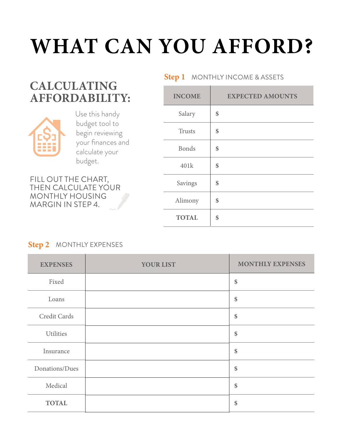## **WHAT CAN YOU AFFORD?**

## **CALCULATING AFFORDABILITY:**



 Use this handy budget tool to begin reviewing your finances and calculate your budget.

FILL OUT THE CHART, THEN CALCULATE YOUR MONTHLY HOUSING MARGIN IN STEP 4.

### **INCOME EXPECTED AMOUNTS** Salary Trusts Bonds 401k Savings Alimony **TOTAL \$ \$ \$ \$ \$ \$ \$**

### **Step 2** MONTHLY EXPENSES

| <b>EXPENSES</b>  | <b>YOUR LIST</b> | <b>MONTHLY EXPENSES</b> |  |
|------------------|------------------|-------------------------|--|
| Fixed            |                  | \$                      |  |
| Loans            |                  | \$                      |  |
| Credit Cards     |                  | \$                      |  |
| <b>Utilities</b> |                  | \$                      |  |
| Insurance        |                  | \$                      |  |
| Donations/Dues   |                  | \$                      |  |
| Medical          |                  | \$                      |  |
| <b>TOTAL</b>     |                  | \$                      |  |

#### **Step 1** MONTHLY INCOME & ASSETS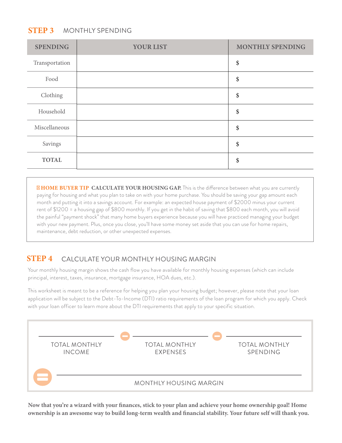#### MONTHLY SPENDING **STEP 3**

| <b>SPENDING</b> | <b>YOUR LIST</b> | <b>MONTHLY SPENDING</b> |  |
|-----------------|------------------|-------------------------|--|
| Transportation  |                  | \$                      |  |
| Food            |                  | \$                      |  |
| Clothing        |                  | \$                      |  |
| Household       |                  | \$                      |  |
| Miscellaneous   |                  | \$                      |  |
| Savings         |                  | \$                      |  |
| <b>TOTAL</b>    |                  | \$                      |  |

**HOME BUYER TIP CALCULATE YOUR HOUSING GAP.** This is the difference between what you are currently paying for housing and what you plan to take on with your home purchase. You should be saving your gap amount each month and putting it into a savings account. For example: an expected house payment of \$2000 minus your current rent of \$1200 = a housing gap of \$800 monthly. If you get in the habit of saving that \$800 each month, you will avoid the painful "payment shock" that many home buyers experience because you will have practiced managing your budget with your new payment. Plus, once you close, you'll have some money set aside that you can use for home repairs, maintenance, debt reduction, or other unexpected expenses.

#### **STEP 4** CALCULATE YOUR MONTHLY HOUSING MARGIN

Your monthly housing margin shows the cash flow you have available for monthly housing expenses (which can include principal, interest, taxes, insurance, mortgage insurance, HOA dues, etc.).

This worksheet is meant to be a reference for helping you plan your housing budget; however, please note that your loan application will be subject to the Debt-To-Income (DTI) ratio requirements of the loan program for which you apply. Check with your loan officer to learn more about the DTI requirements that apply to your specific situation.



**Now that you're a wizard with your finances, stick to your plan and achieve your home ownership goal! Home ownership is an awesome way to build long-term wealth and financial stability. Your future self will thank you.**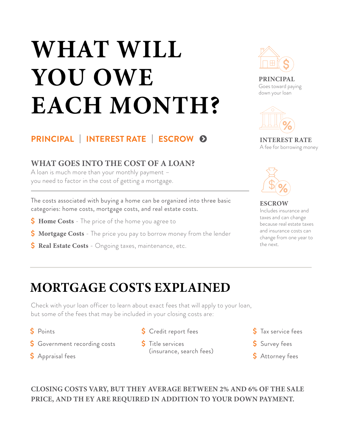## **WHAT WILL YOU OWE EACH MONTH?**



**PRINCIPAL**  Goes toward paying down your loan



**INTEREST RATE** A fee for borrowing money

## **PRINCIPAL | INTEREST RATE | ESCROW**

### **WHAT GOES INTO THE COST OF A LOAN?**

A loan is much more than your monthly payment – you need to factor in the cost of getting a mortgage.

The costs associated with buying a home can be organized into three basic categories: home costs, mortgage costs, and real estate costs.

- **S** Home Costs The price of the home you agree to
- **S** Mortgage Costs The price you pay to borrow money from the lender
- **S** Real Estate Costs Ongoing taxes, maintenance, etc.



**ESCROW** Includes insurance and taxes and can change because real estate taxes and insurance costs can change from one year to the next.

## **MORTGAGE COSTS EXPLAINED**

Check with your loan officer to learn about exact fees that will apply to your loan, but some of the fees that may be included in your closing costs are:

- Ő Points
- **S** Government recording costs
- S Appraisal fees
- S Credit report fees
- S Title services (insurance, search fees)
- S Tax service fees
- S Survey fees
- **\$** Attorney fees

**CLOSING COSTS VARY, BUT THEY AVERAGE BETWEEN 2% AND 6% OF THE SALE PRICE, AND TH EY ARE REQUIRED IN ADDITION TO YOUR DOWN PAYMENT.**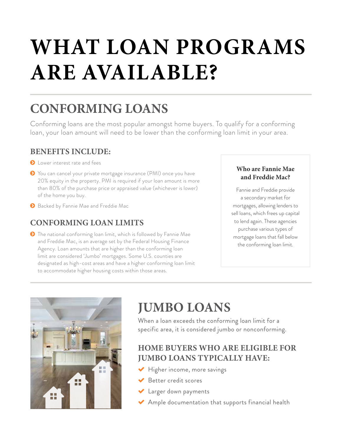## **WHAT LOAN PROGRAMS ARE AVAILABLE?**

## **CONFORMING LOANS**

Conforming loans are the most popular amongst home buyers. To qualify for a conforming loan, your loan amount will need to be lower than the conforming loan limit in your area.

### **BENEFITS INCLUDE:**

**O** Lower interest rate and fees

- ĵ You can cancel your private mortgage insurance (PMI) once you have 20% equity in the property. PMI is required if your loan amount is more than 80% of the purchase price or appraised value (whichever is lower) of the home you buy.
- **8** Backed by Fannie Mae and Freddie Mac

### **CONFORMING LOAN LIMITS**

**•** The national conforming loan limit, which is followed by Fannie Mae and Freddie Mac, is an average set by the Federal Housing Finance Agency. Loan amounts that are higher than the conforming loan limit are considered 'Jumbo' mortgages. Some U.S. counties are designated as high-cost areas and have a higher conforming loan limit to accommodate higher housing costs within those areas.

#### **Who are Fannie Mae and Freddie Mac?**

Fannie and Freddie provide a secondary market for mortgages, allowing lenders to sell loans, which frees up capital to lend again. These agencies purchase various types of mortgage loans that fall below the conforming loan limit.



## **JUMBO LOANS**

When a loan exceeds the conforming loan limit for a specific area, it is considered jumbo or nonconforming.

### **HOME BUYERS WHO ARE ELIGIBLE FOR JUMBO LOANS TYPICALLY HAVE:**

- $\blacktriangleright$  Higher income, more savings
- $\blacktriangleright$  Better credit scores
- K Larger down payments
- $\blacktriangleright$  Ample documentation that supports financial health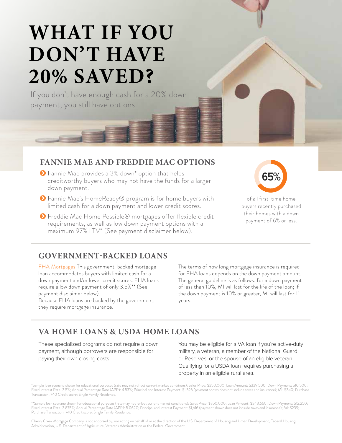## **WHAT IF YOU DON'T HAVE 20% SAVED?**

If you don't have enough cash for a 20% down payment, you still have options.

#### **FANNIE MAE AND FREDDIE MAC OPTIONS**

- ĵ Fannie Mae provides a 3% down\* option that helps creditworthy buyers who may not have the funds for a larger down payment.
- **◆** Fannie Mae's HomeReady® program is for home buyers with limited cash for a down payment and lower credit scores.
- **◆** Freddie Mac Home Possible® mortgages offer flexible credit requirements, as well as low down payment options with a maximum 97% LTV\* (See payment disclaimer below).



of all first-time home buyers recently purchased their homes with a down payment of 6% or less.

### **GOVERNMENT-BACKED LOANS**

FHA Mortgages This government-backed mortgage loan accommodates buyers with limited cash for a down payment and/or lower credit scores. FHA loans require a low down payment of only 3.5%\*\* (See payment disclaimer below).

Because FHA loans are backed by the government, they require mortgage insurance.

The terms of how long mortgage insurance is required for FHA loans depends on the down payment amount. The general guideline is as follows: for a down payment of less than 10%, MI will last for the life of the loan; if the down payment is 10% or greater, MI will last for 11 years.

### **VA HOME LOANS & USDA HOME LOANS**

These specialized programs do not require a down payment, although borrowers are responsible for paying their own closing costs.

You may be eligible for a VA loan if you're active-duty military, a veteran, a member of the National Guard or Reserves, or the spouse of an eligible veteran. Qualifying for a USDA loan requires purchasing a property in an eligible rural area.

\*Sample loan scenario shown for educational purposes (rate may not reflect current market conditions): Sales Price: \$350,000; Loan Amount: \$339,500; Down Payment: \$10,500; Fixed Interest Rate: 3.5%; Annual Percentage Rate (APR): 4.53%; Principal and Interest Payment: \$1,525 (payment shown does not include taxes and insurance); MI: \$340; Purchase Transaction; 740 Credit score; Single Family Residence.

\*\*Sample loan scenario shown for educational purposes (rate may not reflect current market conditions): Sales Price: \$350,000; Loan Amount: \$343,660; Down Payment: \$12,250; Fixed Interest Rate: 3.875%; Annual Percentage Rate (APR): 5.062%; Principal and Interest Payment: \$1,616 (payment shown does not include taxes and insurance); MI: \$239; Purchase Transaction; 740 Credit score; Single Family Residence.

Cherry Creek Mortgage Company is not endorsed by, nor acting on behalf of or at the direction of the U.S. Department of Housing and Urban Development, Federal Housing Administration, U.S. Department of Agriculture, Veterans Administration or the Federal Government.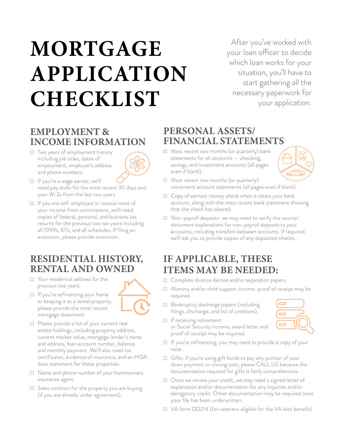## **MORTGAGE APPLICATION CHECKLIST**

After you've worked with your loan officer to decide which loan works for your situation, you'll have to start gathering all the necessary paperwork for your application.

## **EMPLOYMENT & INCOME INFORMATION**

☐ Two years of employment history including job titles, dates of employment, employer's address and phone numbers.



- ☐ If you're a wage earner, we'll need pay stubs for the most recent 30 days and your W-2s from the last two years.
- ☐ If you are self-employed or receive most of your income from commissions, we'll need copies of federal, personal, and business tax returns for the previous two tax years including all 1099s, K1's, and all schedules. If filing an extension, please provide extension.

### **RESIDENTIAL HISTORY, RENTAL AND OWNED**

☐ Your residential address for the previous two years.

mortgage statement.

- ☐ If you're refinancing your home or keeping it as a rental property, please provide the most recent
- ☐ Please provide a list of your current real estate holdings, including property address, current market value, mortgage lender's name and address, loan account number, balance and monthly payment. We'll also need tax certificates, evidence of insurance, and an HOA dues statement for these properties.
- ☐ Name and phone number of your homeowners insurance agent.
- $\Box$  Sales contract for the property you are buying (if you are already under agreement).

### **PERSONAL ASSETS/ FINANCIAL STATEMENTS**

☐ Most recent two months (or quarterly) bank statements for all accounts — checking, savings, and investment accounts (all pages even if blank).



- ☐ Most recent two months (or quarterly) retirement account statements (all pages even if blank).
- $\Box$  Copy of earnest money check when it clears your bank account, along with the most recent bank statement showing that the check has cleared.
- ☐ Non-payroll deposits: we may need to verify the source/ document explanations for non-payroll deposits to your accounts, including transfers between accounts. If required, we'll ask you to provide copies of any deposited checks.

## **IF APPLICABLE, THESE ITEMS MAY BE NEEDED:**

- ☐ Complete divorce decree and/or separation papers.
- ☐ Alimony and/or child support income: proof of receipt may be required.
- ☐ Bankruptcy discharge papers (including filings, discharge, and list of creditors).
- **□** If receiving retirement or Social Security income, award letter and proof of receipt may be required.



- ☐ If you're refinancing, you may need to provide a copy of your note.
- □ Gifts: if you're using gift funds to pay any portion of your down payment or closing cost, please CALL US because the documentation required for gifts is fairly comprehensive.
- □ Once we review your credit, we may need a signed letter of explanation and/or documentation for any inquiries and/or derogatory credit. Other documentation may be required once your file has been underwritten.
- ☐ VA form DD214 (for veterans eligible for the VA loan benefit).

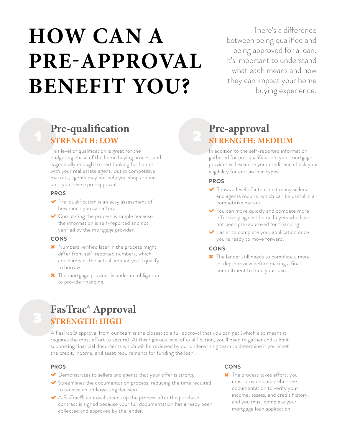## **HOW CAN A PRE-APPROVAL BENEFIT YOU?**

There's a difference between being qualified and being approved for a loan. It's important to understand what each means and how they can impact your home buying experience.

## **Pre-qualification STRENGTH: LOW**

This level of qualification is great for the budgeting phase of the home buying process and is generally enough to start looking for homes with your real estate agent. But in competitive markets, agents may not help you shop around until you have a pre-approval.

#### **PROS**

- $\blacktriangleright$  Pre-qualification is an easy assessment of how much you can afford.
- $\triangleright$  Completing the process is simple because the information is self-reported and not verified by the mortgage provider.

#### **CONS**

- **X** Numbers verified later in the process might differ from self-reported numbers, which could impact the actual amount you'll qualify to borrow.
- **\*** The mortgage provider is under no obligation to provide financing.

## **Pre-approval STRENGTH: MEDIUM**

In addition to the self-reported information gathered for pre-qualification, your mortgage provider will examine your credit and check your eligibility for certain loan types.

#### **PROS**

- $\blacktriangleright$  Shows a level of intent that many sellers and agents require, which can be useful in a competitive market.
- You can move quickly and compete more effectively against home buyers who have not been pre-approved for financing.
- ( Easier to complete your application once you're ready to move forward.

#### **CONS**

\* The lender still needs to complete a more in-depth review before making a final commitment to fund your loan.

## **FasTrac® Approval STRENGTH: HIGH**

A FasTrac® approval from our team is the closest to a full approval that you can get (which also means it requires the most effort to secure). At this rigorous level of qualification, you'll need to gather and submit supporting financial documents which will be reviewed by our underwriting team to determine if you meet the credit, income, and asset requirements for funding the loan.

#### **PROS**

- Bemonstrates to sellers and agents that your offer is strong.
- $\blacktriangleright$  Streamlines the documentation process, reducing the time required to receive an underwriting decision.
- $\blacktriangleright$  A FasTrac $\circledR$  approval speeds up the process after the purchase contract is signed because your full documentation has already been collected and approved by the lender.

#### **CONS**

**X** The process takes effort; you must provide comprehensive documentation to verify your income, assets, and credit history, and you must complete your mortgage loan application.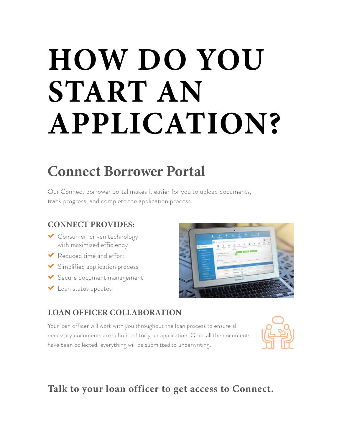## **HOW DO YOU START AN APPLICATION?**

## **Connect Borrower Portal**

Our Connect borrower portal makes it easier for you to upload documents, track progress, and complete the application process.

### **CONNECT PROVIDES:**

- Consumer-driven technology with maximized efficiency
- $\blacktriangleright$  Reduced time and effort
- $\blacktriangleright$  Simplified application process
- Secure document management
- ( Loan status updates



## **LOAN OFFICER COLLABORATION**

Your loan officer will work with you throughout the loan process to ensure all necessary documents are submitted for your application. Once all the documents have been collected, everything will be submitted to underwriting.



## **Talk to your loan officer to get access to Connect.**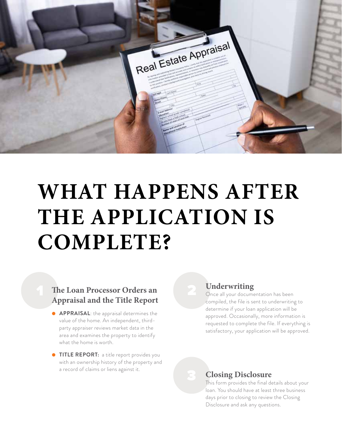

## **WHAT HAPPENS AFTER THE APPLICATION IS COMPLETE?**

### **The Loan Processor Orders an Appraisal and the Title Report**

- **APPRAISAL:** the appraisal determines the value of the home. An independent, thirdparty appraiser reviews market data in the area and examines the property to identify what the home is worth.
- **TITLE REPORT:** a title report provides you with an ownership history of the property and a record of claims or liens against it.

### **Underwriting**

Once all your documentation has been compiled, the file is sent to underwriting to determine if your loan application will be approved. Occasionally, more information is requested to complete the file. If everything is satisfactory, your application will be approved.

### **Closing Disclosure**

This form provides the final details about your loan. You should have at least three business days prior to closing to review the Closing Disclosure and ask any questions.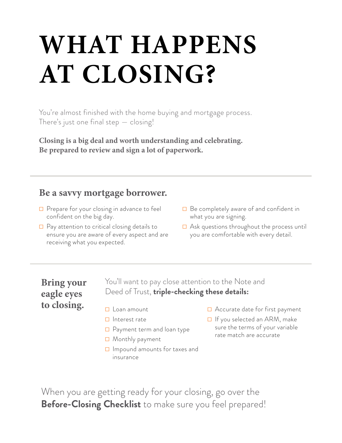## **WHAT HAPPENS AT CLOSING?**

You're almost finished with the home buying and mortgage process. There's just one final step — closing!

**Closing is a big deal and worth understanding and celebrating. Be prepared to review and sign a lot of paperwork.**

### **Be a savvy mortgage borrower.**

- □ Prepare for your closing in advance to feel confident on the big day.
- $\Box$  Pay attention to critical closing details to ensure you are aware of every aspect and are receiving what you expected.
- **□** Be completely aware of and confident in what you are signing.
- $\Box$  Ask questions throughout the process until you are comfortable with every detail.

### **Bring your eagle eyes to closing.**

You'll want to pay close attention to the Note and Deed of Trust, **triple-checking these details:** 

- □ Loan amount
- ☐ Interest rate
- ☐ Payment term and loan type
- ☐ Monthly payment
- ☐ Impound amounts for taxes and insurance
- ☐ Accurate date for first payment
- ☐ If you selected an ARM, make sure the terms of your variable rate match are accurate

When you are getting ready for your closing, go over the **Before-Closing Checklist** to make sure you feel prepared!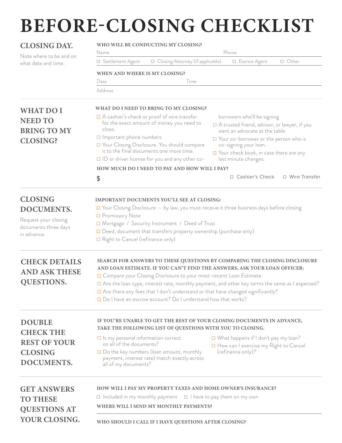## **BEFORE-CLOSING CHECKLIST**

| <b>CLOSING DAY.</b>                                                         | WHO WILL BE CONDUCTING MY CLOSING?<br>Name<br>Phone<br>□ Closing Attorney (if applicable)<br>□ Settlement Agent<br>□ Escrow Agent<br>□ Other                                                                                        |                                                                   |                                                                                                                                                                                                                                                |                 |
|-----------------------------------------------------------------------------|-------------------------------------------------------------------------------------------------------------------------------------------------------------------------------------------------------------------------------------|-------------------------------------------------------------------|------------------------------------------------------------------------------------------------------------------------------------------------------------------------------------------------------------------------------------------------|-----------------|
| Note where to be and on<br>what date and time.                              |                                                                                                                                                                                                                                     |                                                                   |                                                                                                                                                                                                                                                |                 |
|                                                                             | WHEN AND WHERE IS MY CLOSING?                                                                                                                                                                                                       |                                                                   |                                                                                                                                                                                                                                                |                 |
|                                                                             | Time<br>Date                                                                                                                                                                                                                        |                                                                   |                                                                                                                                                                                                                                                |                 |
|                                                                             | Address                                                                                                                                                                                                                             |                                                                   |                                                                                                                                                                                                                                                |                 |
| <b>WHAT DO I</b><br><b>NEED TO</b><br><b>BRING TO MY</b><br><b>CLOSING?</b> | WHAT DO I NEED TO BRING TO MY CLOSING?                                                                                                                                                                                              |                                                                   |                                                                                                                                                                                                                                                |                 |
|                                                                             | $\Box$ A cashier's check or proof of wire transfer<br>for the exact amount of money you need to<br>close.<br>□ Important phone numbers<br>□ Your Closing Disclosure. You should compare<br>it to the final documents one more time. |                                                                   | borrowers who'll be signing<br>$\Box$ A trusted friend, advisor, or lawyer, if you<br>want an advocate at the table.<br>$\Box$ Your co-borrower or the person who is<br>co-signing your loan.<br>$\Box$ Your check book, in case there are any |                 |
|                                                                             | $\Box$ ID or driver license for you and any other co-<br>last minute changes.                                                                                                                                                       |                                                                   |                                                                                                                                                                                                                                                |                 |
|                                                                             | HOW MUCH DO I NEED TO PAY AND HOW WILL I PAY?                                                                                                                                                                                       |                                                                   |                                                                                                                                                                                                                                                |                 |
|                                                                             | \$                                                                                                                                                                                                                                  |                                                                   | □ Cashier's Check                                                                                                                                                                                                                              | □ Wire Transfer |
| <b>CLOSING</b>                                                              | <b>IMPORTANT DOCUMENTS YOU'LL SEE AT CLOSING:</b>                                                                                                                                                                                   |                                                                   |                                                                                                                                                                                                                                                |                 |
| <b>DOCUMENTS.</b>                                                           | $\Box$ Your Closing Disclosure $-$ by law, you must receive it three business days before closing                                                                                                                                   |                                                                   |                                                                                                                                                                                                                                                |                 |
|                                                                             | □ Promissory Note                                                                                                                                                                                                                   |                                                                   |                                                                                                                                                                                                                                                |                 |
| Request your closing<br>documents three days                                | □ Mortgage / Security Instrument / Deed of Trust                                                                                                                                                                                    |                                                                   |                                                                                                                                                                                                                                                |                 |
| in advance.                                                                 | $\Box$ Deed, document that transfers property ownership (purchase only)                                                                                                                                                             |                                                                   |                                                                                                                                                                                                                                                |                 |
|                                                                             | $\Box$ Right to Cancel (refinance only)                                                                                                                                                                                             |                                                                   |                                                                                                                                                                                                                                                |                 |
| <b>CHECK DETAILS</b><br><b>AND ASK THESE</b>                                | SEARCH FOR ANSWERS TO THESE QUESTIONS BY COMPARING THE CLOSING DISCLOSURE<br>AND LOAN ESTIMATE. IF YOU CAN'T FIND THE ANSWERS, ASK YOUR LOAN OFFICER:<br>O Compare your Closing Disclosure to your most-recent Loan Estimate.       |                                                                   |                                                                                                                                                                                                                                                |                 |
| <b>QUESTIONS.</b>                                                           | $\Box$ Are the loan type, interest rate, monthly payment, and other key terms the same as I expected?                                                                                                                               |                                                                   |                                                                                                                                                                                                                                                |                 |
|                                                                             | □ Are there any fees that I don't understand or that have changed significantly?                                                                                                                                                    |                                                                   |                                                                                                                                                                                                                                                |                 |
|                                                                             | □ Do I have an escrow account? Do I understand how that works?                                                                                                                                                                      |                                                                   |                                                                                                                                                                                                                                                |                 |
| <b>DOUBLE</b><br><b>CHECK THE</b><br><b>REST OF YOUR</b>                    | IF YOU'RE UNABLE TO GET THE REST OF YOUR CLOSING DOCUMENTS IN ADVANCE,<br>TAKE THE FOLLOWING LIST OF QUESTIONS WITH YOU TO CLOSING.                                                                                                 |                                                                   |                                                                                                                                                                                                                                                |                 |
|                                                                             | $\Box$ Is my personal information correct                                                                                                                                                                                           |                                                                   | $\Box$ What happens if I don't pay my loan?                                                                                                                                                                                                    |                 |
| <b>CLOSING</b>                                                              | on all of the documents?<br>$\Box$ Do the key numbers (loan amount, monthly                                                                                                                                                         | $\Box$ How can I exercise my Right to Cancel<br>(refinance only)? |                                                                                                                                                                                                                                                |                 |
| <b>DOCUMENTS.</b>                                                           | payment, interest rate) match exactly across<br>all of my documents?                                                                                                                                                                |                                                                   |                                                                                                                                                                                                                                                |                 |
| <b>GET ANSWERS</b>                                                          | <b>HOW WILL I PAY MY PROPERTY TAXES AND HOME OWNER'S INSURANCE?</b>                                                                                                                                                                 |                                                                   |                                                                                                                                                                                                                                                |                 |
| <b>TO THESE</b>                                                             | $\Box$ Included in my monthly payment $\Box$ I have to pay them on my own                                                                                                                                                           |                                                                   |                                                                                                                                                                                                                                                |                 |
|                                                                             | WHERE WILL I SEND MY MONTHLY PAYMENTS?                                                                                                                                                                                              |                                                                   |                                                                                                                                                                                                                                                |                 |
| <b>QUESTIONS AT</b>                                                         | WHO SHOULD I CALL IF I HAVE QUESTIONS AFTER CLOSING?                                                                                                                                                                                |                                                                   |                                                                                                                                                                                                                                                |                 |
| YOUR CLOSING.                                                               |                                                                                                                                                                                                                                     |                                                                   |                                                                                                                                                                                                                                                |                 |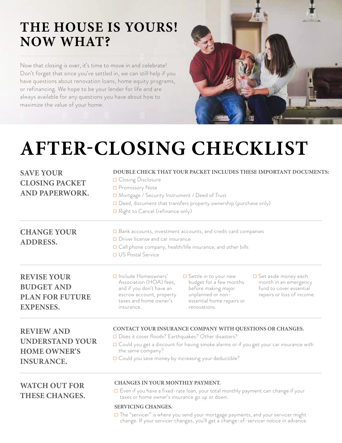## **THE HOUSE IS YOURS! NOW WHAT?**

Now that closing is over, it's time to move in and celebrate! Don't forget that once you've settled in, we can still help if you have questions about renovation loans, home equity programs, or refinancing. We hope to be your lender for life and are always available for any questions you have about how to maximize the value of your home.



## **AFTER-CLOSING CHECKLIST**

| <b>SAVE YOUR</b><br><b>CLOSING PACKET</b><br><b>AND PAPERWORK.</b>                      | DOUBLE CHECK THAT YOUR PACKET INCLUDES THESE IMPORTANT DOCUMENTS:<br>□ Closing Disclosure<br>□ Promissory Note<br>□ Mortgage / Security Instrument / Deed of Trust<br>Deed, document that transfers property ownership (purchase only)<br>Right to Cancel (refinance only)                                                                                                                                               |  |  |
|-----------------------------------------------------------------------------------------|--------------------------------------------------------------------------------------------------------------------------------------------------------------------------------------------------------------------------------------------------------------------------------------------------------------------------------------------------------------------------------------------------------------------------|--|--|
| <b>CHANGE YOUR</b><br><b>ADDRESS.</b>                                                   | □ Bank accounts, investment accounts, and credit card companies<br>D Driver license and car insurance<br>□ Cell phone company, health/life insurance, and other bills<br>□ US Postal Service                                                                                                                                                                                                                             |  |  |
| <b>REVISE YOUR</b><br><b>BUDGET AND</b><br><b>PLAN FOR FUTURE</b><br><b>EXPENSES.</b>   | D Include Homeowners'<br>$\square$ Set aside money each<br>$\Box$ Settle in to your new<br>Association (HOA) fees,<br>budget for a few months<br>month in an emergency<br>fund to cover essential<br>and if you don't have an<br>before making major<br>repairs or loss of income.<br>unplanned or non-<br>escrow account, property<br>taxes and home owner's<br>essential home repairs or<br>renovations.<br>insurance. |  |  |
| <b>REVIEW AND</b><br><b>UNDERSTAND YOUR</b><br><b>HOME OWNER'S</b><br><b>INSURANCE.</b> | CONTACT YOUR INSURANCE COMPANY WITH QUESTIONS OR CHANGES.<br>Does it cover floods? Earthquakes? Other disasters?<br>□ Could you get a discount for having smoke alarms or if you get your car insurance with<br>the same company?<br>□ Could you save money by increasing your deductible?                                                                                                                               |  |  |
| <b>WATCH OUT FOR</b><br><b>THESE CHANGES.</b>                                           | <b>CHANGES IN YOUR MONTHLY PAYMENT.</b><br>□ Even if you have a fixed-rate loan, your total monthly payment can change if your<br>taxes or home owner's insurance go up or down.<br><b>SERVICING CHANGES.</b><br>□ The "servicer" is where you send your mortgage payments, and your servicer might<br>change. If your servicer changes, you'll get a change-of-servicer notice in advance.                              |  |  |